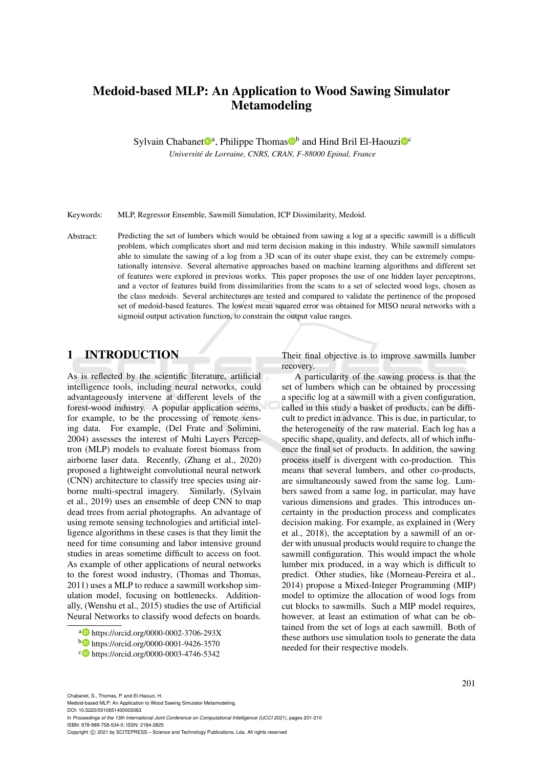# Medoid-based MLP: An Application to Wood Sawing Simulator Metamodeling

Sylvain Chabanet<sup>®</sup>ª, Philippe Thomas<sup>®b</sup> and Hind Bril El-Haouzi<sup>®</sup>

*Universite de Lorraine, CNRS, CRAN, F-88000 Epinal, France ´*

Keywords: MLP, Regressor Ensemble, Sawmill Simulation, ICP Dissimilarity, Medoid.

Abstract: Predicting the set of lumbers which would be obtained from sawing a log at a specific sawmill is a difficult problem, which complicates short and mid term decision making in this industry. While sawmill simulators able to simulate the sawing of a log from a 3D scan of its outer shape exist, they can be extremely computationally intensive. Several alternative approaches based on machine learning algorithms and different set of features were explored in previous works. This paper proposes the use of one hidden layer perceptrons, and a vector of features build from dissimilarities from the scans to a set of selected wood logs, chosen as the class medoids. Several architectures are tested and compared to validate the pertinence of the proposed set of medoid-based features. The lowest mean squared error was obtained for MISO neural networks with a sigmoid output activation function, to constrain the output value ranges.

# 1 INTRODUCTION

As is reflected by the scientific literature, artificial intelligence tools, including neural networks, could advantageously intervene at different levels of the forest-wood industry. A popular application seems, for example, to be the processing of remote sensing data. For example, (Del Frate and Solimini, 2004) assesses the interest of Multi Layers Perceptron (MLP) models to evaluate forest biomass from airborne laser data. Recently, (Zhang et al., 2020) proposed a lightweight convolutional neural network (CNN) architecture to classify tree species using airborne multi-spectral imagery. Similarly, (Sylvain et al., 2019) uses an ensemble of deep CNN to map dead trees from aerial photographs. An advantage of using remote sensing technologies and artificial intelligence algorithms in these cases is that they limit the need for time consuming and labor intensive ground studies in areas sometime difficult to access on foot. As example of other applications of neural networks to the forest wood industry, (Thomas and Thomas, 2011) uses a MLP to reduce a sawmill workshop simulation model, focusing on bottlenecks. Additionally, (Wenshu et al., 2015) studies the use of Artificial Neural Networks to classify wood defects on boards.

- a https://orcid.org/0000-0002-3706-293X
- <sup>b</sup> https://orcid.org/0000-0001-9426-3570
- c https://orcid.org/0000-0003-4746-5342

Their final objective is to improve sawmills lumber recovery.

A particularity of the sawing process is that the set of lumbers which can be obtained by processing a specific log at a sawmill with a given configuration, called in this study a basket of products, can be difficult to predict in advance. This is due, in particular, to the heterogeneity of the raw material. Each log has a specific shape, quality, and defects, all of which influence the final set of products. In addition, the sawing process itself is divergent with co-production. This means that several lumbers, and other co-products, are simultaneously sawed from the same log. Lumbers sawed from a same log, in particular, may have various dimensions and grades. This introduces uncertainty in the production process and complicates decision making. For example, as explained in (Wery et al., 2018), the acceptation by a sawmill of an order with unusual products would require to change the sawmill configuration. This would impact the whole lumber mix produced, in a way which is difficult to predict. Other studies, like (Morneau-Pereira et al., 2014) propose a Mixed-Integer Programming (MIP) model to optimize the allocation of wood logs from cut blocks to sawmills. Such a MIP model requires, however, at least an estimation of what can be obtained from the set of logs at each sawmill. Both of these authors use simulation tools to generate the data needed for their respective models.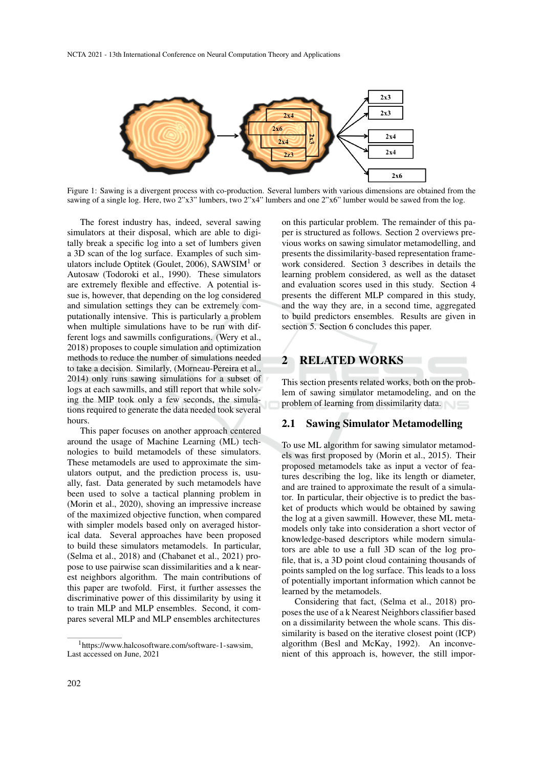

Figure 1: Sawing is a divergent process with co-production. Several lumbers with various dimensions are obtained from the sawing of a single log. Here, two 2"x3" lumbers, two 2"x4" lumbers and one 2"x6" lumber would be sawed from the log.

The forest industry has, indeed, several sawing simulators at their disposal, which are able to digitally break a specific log into a set of lumbers given a 3D scan of the log surface. Examples of such simulators include Optitek (Goulet, 2006), SAWSIM<sup>1</sup> or Autosaw (Todoroki et al., 1990). These simulators are extremely flexible and effective. A potential issue is, however, that depending on the log considered and simulation settings they can be extremely computationally intensive. This is particularly a problem when multiple simulations have to be run with different logs and sawmills configurations. (Wery et al., 2018) proposes to couple simulation and optimization methods to reduce the number of simulations needed to take a decision. Similarly, (Morneau-Pereira et al., 2014) only runs sawing simulations for a subset of logs at each sawmills, and still report that while solving the MIP took only a few seconds, the simulations required to generate the data needed took several hours.

This paper focuses on another approach centered around the usage of Machine Learning (ML) technologies to build metamodels of these simulators. These metamodels are used to approximate the simulators output, and the prediction process is, usually, fast. Data generated by such metamodels have been used to solve a tactical planning problem in (Morin et al., 2020), shoving an impressive increase of the maximized objective function, when compared with simpler models based only on averaged historical data. Several approaches have been proposed to build these simulators metamodels. In particular, (Selma et al., 2018) and (Chabanet et al., 2021) propose to use pairwise scan dissimilarities and a k nearest neighbors algorithm. The main contributions of this paper are twofold. First, it further assesses the discriminative power of this dissimilarity by using it to train MLP and MLP ensembles. Second, it compares several MLP and MLP ensembles architectures

on this particular problem. The remainder of this paper is structured as follows. Section 2 overviews previous works on sawing simulator metamodelling, and presents the dissimilarity-based representation framework considered. Section 3 describes in details the learning problem considered, as well as the dataset and evaluation scores used in this study. Section 4 presents the different MLP compared in this study, and the way they are, in a second time, aggregated to build predictors ensembles. Results are given in section 5. Section 6 concludes this paper.

# 2 RELATED WORKS

This section presents related works, both on the problem of sawing simulator metamodeling, and on the problem of learning from dissimilarity data.

### 2.1 Sawing Simulator Metamodelling

To use ML algorithm for sawing simulator metamodels was first proposed by (Morin et al., 2015). Their proposed metamodels take as input a vector of features describing the log, like its length or diameter, and are trained to approximate the result of a simulator. In particular, their objective is to predict the basket of products which would be obtained by sawing the log at a given sawmill. However, these ML metamodels only take into consideration a short vector of knowledge-based descriptors while modern simulators are able to use a full 3D scan of the log profile, that is, a 3D point cloud containing thousands of points sampled on the log surface. This leads to a loss of potentially important information which cannot be learned by the metamodels.

Considering that fact, (Selma et al., 2018) proposes the use of a k Nearest Neighbors classifier based on a dissimilarity between the whole scans. This dissimilarity is based on the iterative closest point (ICP) algorithm (Besl and McKay, 1992). An inconvenient of this approach is, however, the still impor-

<sup>1</sup>https://www.halcosoftware.com/software-1-sawsim, Last accessed on June, 2021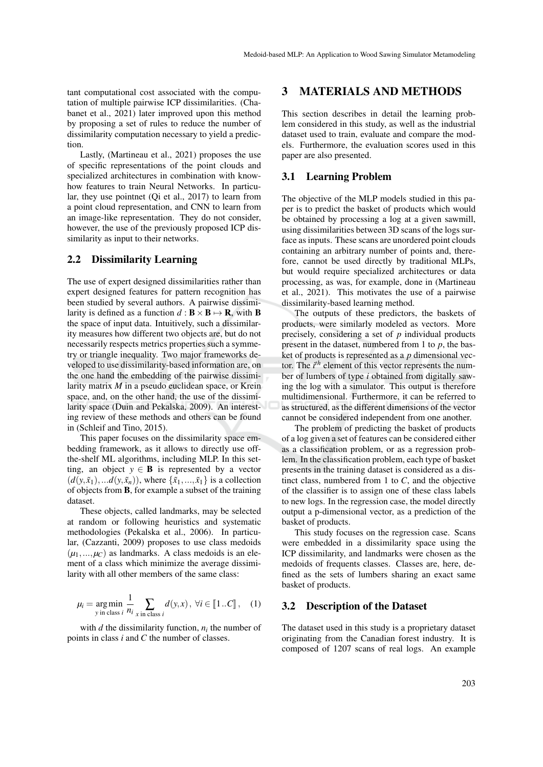tant computational cost associated with the computation of multiple pairwise ICP dissimilarities. (Chabanet et al., 2021) later improved upon this method by proposing a set of rules to reduce the number of dissimilarity computation necessary to yield a prediction.

Lastly, (Martineau et al., 2021) proposes the use of specific representations of the point clouds and specialized architectures in combination with knowhow features to train Neural Networks. In particular, they use pointnet (Qi et al., 2017) to learn from a point cloud representation, and CNN to learn from an image-like representation. They do not consider, however, the use of the previously proposed ICP dissimilarity as input to their networks.

#### 2.2 Dissimilarity Learning

The use of expert designed dissimilarities rather than expert designed features for pattern recognition has been studied by several authors. A pairwise dissimilarity is defined as a function  $d : \mathbf{B} \times \mathbf{B} \mapsto \mathbf{R}$ , with **B** the space of input data. Intuitively, such a dissimilarity measures how different two objects are, but do not necessarily respects metrics properties such a symmetry or triangle inequality. Two major frameworks developed to use dissimilarity-based information are, on the one hand the embedding of the pairwise dissimilarity matrix *M* in a pseudo euclidean space, or Krein space, and, on the other hand, the use of the dissimilarity space (Duin and Pekalska, 2009). An interesting review of these methods and others can be found in (Schleif and Tino, 2015).

This paper focuses on the dissimilarity space embedding framework, as it allows to directly use offthe-shelf ML algorithms, including MLP. In this setting, an object  $y \in \mathbf{B}$  is represented by a vector  $(d(y, \tilde{x}_1),...d(y, \tilde{x}_n))$ , where  $\{\tilde{x}_1,...,\tilde{x}_1\}$  is a collection of objects from B, for example a subset of the training dataset.

These objects, called landmarks, may be selected at random or following heuristics and systematic methodologies (Pekalska et al., 2006). In particular, (Cazzanti, 2009) proposes to use class medoids  $(\mu_1, ..., \mu_C)$  as landmarks. A class medoids is an element of a class which minimize the average dissimilarity with all other members of the same class:

$$
\mu_i = \underset{\text{y in class } i}{\arg \min} \frac{1}{n_i} \sum_{\text{x in class } i} d(y, x), \ \forall i \in [\![1..C]\!], \quad (1)
$$

with  $d$  the dissimilarity function,  $n_i$  the number of points in class *i* and *C* the number of classes.

## 3 MATERIALS AND METHODS

This section describes in detail the learning problem considered in this study, as well as the industrial dataset used to train, evaluate and compare the models. Furthermore, the evaluation scores used in this paper are also presented.

#### 3.1 Learning Problem

The objective of the MLP models studied in this paper is to predict the basket of products which would be obtained by processing a log at a given sawmill, using dissimilarities between 3D scans of the logs surface as inputs. These scans are unordered point clouds containing an arbitrary number of points and, therefore, cannot be used directly by traditional MLPs, but would require specialized architectures or data processing, as was, for example, done in (Martineau et al., 2021). This motivates the use of a pairwise dissimilarity-based learning method.

The outputs of these predictors, the baskets of products, were similarly modeled as vectors. More precisely, considering a set of *p* individual products present in the dataset, numbered from 1 to *p*, the basket of products is represented as a *p* dimensional vector. The *i th* element of this vector represents the number of lumbers of type *i* obtained from digitally sawing the log with a simulator. This output is therefore multidimensional. Furthermore, it can be referred to as structured, as the different dimensions of the vector cannot be considered independent from one another.

The problem of predicting the basket of products of a log given a set of features can be considered either as a classification problem, or as a regression problem. In the classification problem, each type of basket presents in the training dataset is considered as a distinct class, numbered from 1 to *C*, and the objective of the classifier is to assign one of these class labels to new logs. In the regression case, the model directly output a p-dimensional vector, as a prediction of the basket of products.

This study focuses on the regression case. Scans were embedded in a dissimilarity space using the ICP dissimilarity, and landmarks were chosen as the medoids of frequents classes. Classes are, here, defined as the sets of lumbers sharing an exact same basket of products.

#### 3.2 Description of the Dataset

The dataset used in this study is a proprietary dataset originating from the Canadian forest industry. It is composed of 1207 scans of real logs. An example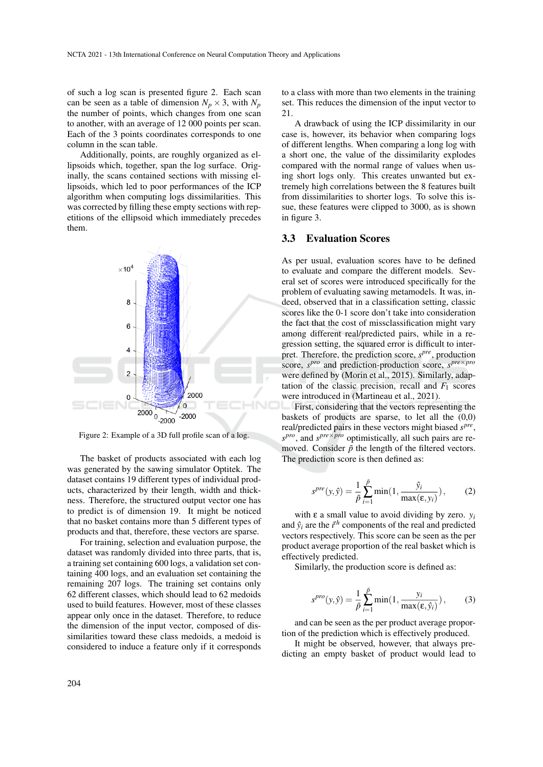of such a log scan is presented figure 2. Each scan can be seen as a table of dimension  $N_p \times 3$ , with  $N_p$ the number of points, which changes from one scan to another, with an average of 12 000 points per scan. Each of the 3 points coordinates corresponds to one column in the scan table.

Additionally, points, are roughly organized as ellipsoids which, together, span the log surface. Originally, the scans contained sections with missing ellipsoids, which led to poor performances of the ICP algorithm when computing logs dissimilarities. This was corrected by filling these empty sections with repetitions of the ellipsoid which immediately precedes them.



Figure 2: Example of a 3D full profile scan of a log.

The basket of products associated with each log was generated by the sawing simulator Optitek. The dataset contains 19 different types of individual products, characterized by their length, width and thickness. Therefore, the structured output vector one has to predict is of dimension 19. It might be noticed that no basket contains more than 5 different types of products and that, therefore, these vectors are sparse.

For training, selection and evaluation purpose, the dataset was randomly divided into three parts, that is, a training set containing 600 logs, a validation set containing 400 logs, and an evaluation set containing the remaining 207 logs. The training set contains only 62 different classes, which should lead to 62 medoids used to build features. However, most of these classes appear only once in the dataset. Therefore, to reduce the dimension of the input vector, composed of dissimilarities toward these class medoids, a medoid is considered to induce a feature only if it corresponds to a class with more than two elements in the training set. This reduces the dimension of the input vector to 21.

A drawback of using the ICP dissimilarity in our case is, however, its behavior when comparing logs of different lengths. When comparing a long log with a short one, the value of the dissimilarity explodes compared with the normal range of values when using short logs only. This creates unwanted but extremely high correlations between the 8 features built from dissimilarities to shorter logs. To solve this issue, these features were clipped to 3000, as is shown in figure 3.

#### 3.3 Evaluation Scores

As per usual, evaluation scores have to be defined to evaluate and compare the different models. Several set of scores were introduced specifically for the problem of evaluating sawing metamodels. It was, indeed, observed that in a classification setting, classic scores like the 0-1 score don't take into consideration the fact that the cost of missclassification might vary among different real/predicted pairs, while in a regression setting, the squared error is difficult to interpret. Therefore, the prediction score,  $s^{pre}$ , production score, *s pro* and prediction-production score, *s pre*×*pro* were defined by (Morin et al., 2015). Similarly, adaptation of the classic precision, recall and  $F_1$  scores were introduced in (Martineau et al., 2021).

First, considering that the vectors representing the baskets of products are sparse, to let all the  $(0,0)$ real/predicted pairs in these vectors might biased *s pre* , *s pro*, and *s pre*×*pro* optimistically, all such pairs are removed. Consider  $\tilde{p}$  the length of the filtered vectors. The prediction score is then defined as:

$$
s^{pre}(y,\hat{y}) = \frac{1}{\tilde{p}} \sum_{i=1}^{\tilde{p}} \min(1, \frac{\hat{y}_i}{\max(\epsilon, y_i)}), \quad (2)
$$

with  $\varepsilon$  a small value to avoid dividing by zero.  $y_i$ and  $\hat{y}_i$  are the  $i^{th}$  components of the real and predicted vectors respectively. This score can be seen as the per product average proportion of the real basket which is effectively predicted.

Similarly, the production score is defined as:

$$
s^{pro}(y,\hat{y}) = \frac{1}{\tilde{p}} \sum_{i=1}^{\tilde{p}} \min(1, \frac{y_i}{\max(\varepsilon, \hat{y}_i)}),
$$
 (3)

and can be seen as the per product average proportion of the prediction which is effectively produced.

It might be observed, however, that always predicting an empty basket of product would lead to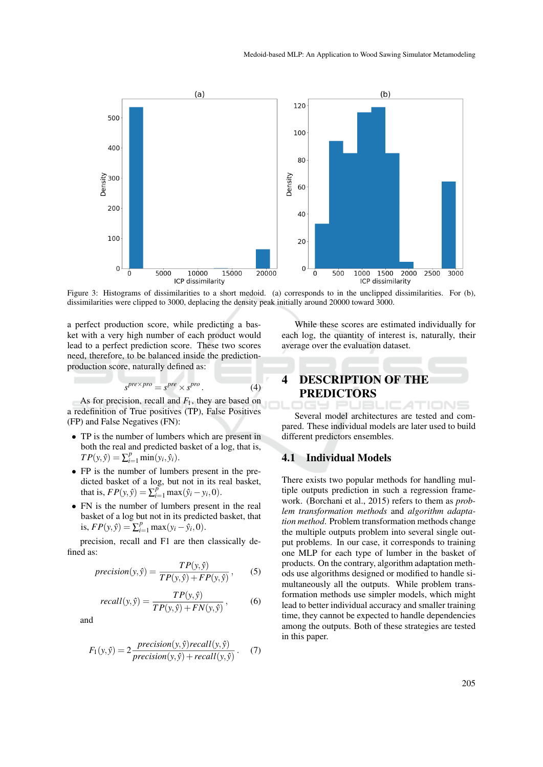

Figure 3: Histograms of dissimilarities to a short medoid. (a) corresponds to in the unclipped dissimilarities. For (b), dissimilarities were clipped to 3000, deplacing the density peak initially around 20000 toward 3000.

a perfect production score, while predicting a basket with a very high number of each product would lead to a perfect prediction score. These two scores need, therefore, to be balanced inside the predictionproduction score, naturally defined as:

$$
s^{pre \times pro} = s^{pre} \times s^{pro}.
$$
 (4)

As for precision, recall and *F*1, they are based on a redefinition of True positives (TP), False Positives (FP) and False Negatives (FN):

- TP is the number of lumbers which are present in both the real and predicted basket of a log, that is,  $TP(y, \hat{y}) = \sum_{i=1}^{p} \min(y_i, \hat{y}_i).$
- FP is the number of lumbers present in the predicted basket of a log, but not in its real basket, that is,  $FP(y, \hat{y}) = \sum_{i=1}^{p} \max(\hat{y}_i - y_i, 0).$
- FN is the number of lumbers present in the real basket of a log but not in its predicted basket, that is,  $FP(y, \hat{y}) = \sum_{i=1}^{p} \max(y_i - \hat{y}_i, 0).$

precision, recall and F1 are then classically defined as:

$$
precision(y, \hat{y}) = \frac{TP(y, \hat{y})}{TP(y, \hat{y}) + FP(y, \hat{y})},
$$
 (5)

$$
recall(y,\hat{y}) = \frac{TP(y,\hat{y})}{TP(y,\hat{y}) + FN(y,\hat{y})},\tag{6}
$$

and

$$
F_1(y, \hat{y}) = 2 \frac{precision(y, \hat{y})recall(y, \hat{y})}{precision(y, \hat{y}) + recall(y, \hat{y})}.
$$
 (7)

While these scores are estimated individually for each log, the quantity of interest is, naturally, their average over the evaluation dataset.

# 4 DESCRIPTION OF THE PREDICTORS

Several model architectures are tested and compared. These individual models are later used to build different predictors ensembles.

TIONS

### 4.1 Individual Models

There exists two popular methods for handling multiple outputs prediction in such a regression framework. (Borchani et al., 2015) refers to them as *problem transformation methods* and *algorithm adaptation method*. Problem transformation methods change the multiple outputs problem into several single output problems. In our case, it corresponds to training one MLP for each type of lumber in the basket of products. On the contrary, algorithm adaptation methods use algorithms designed or modified to handle simultaneously all the outputs. While problem transformation methods use simpler models, which might lead to better individual accuracy and smaller training time, they cannot be expected to handle dependencies among the outputs. Both of these strategies are tested in this paper.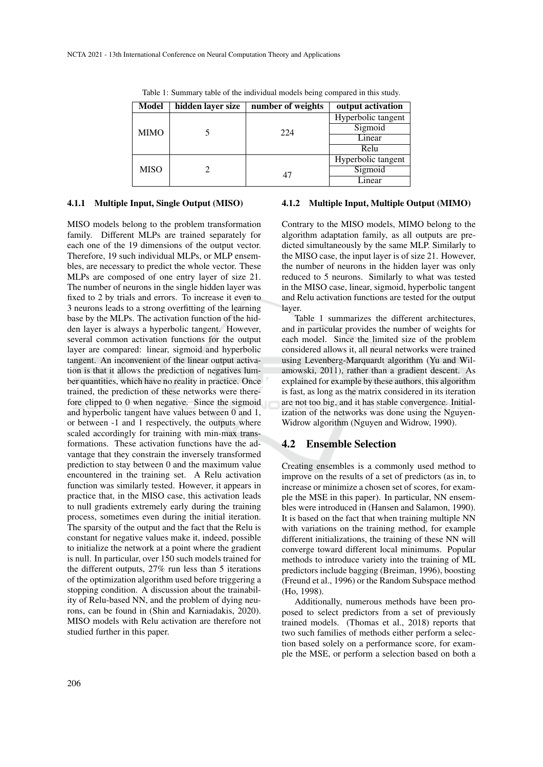| Model       | hidden layer size | number of weights | output activation  |
|-------------|-------------------|-------------------|--------------------|
|             |                   |                   |                    |
| <b>MIMO</b> |                   |                   | Hyperbolic tangent |
|             |                   | 224               | Sigmoid            |
|             |                   |                   | Linear             |
|             |                   |                   | Relu               |
| <b>MISO</b> |                   |                   | Hyperbolic tangent |
|             |                   | 47                | Sigmoid            |
|             |                   |                   | Linear             |

Table 1: Summary table of the individual models being compared in this study.

#### 4.1.1 Multiple Input, Single Output (MISO)

MISO models belong to the problem transformation family. Different MLPs are trained separately for each one of the 19 dimensions of the output vector. Therefore, 19 such individual MLPs, or MLP ensembles, are necessary to predict the whole vector. These MLPs are composed of one entry layer of size 21. The number of neurons in the single hidden layer was fixed to 2 by trials and errors. To increase it even to 3 neurons leads to a strong overfitting of the learning base by the MLPs. The activation function of the hidden layer is always a hyperbolic tangent. However, several common activation functions for the output layer are compared: linear, sigmoid and hyperbolic tangent. An inconvenient of the linear output activation is that it allows the prediction of negatives lumber quantities, which have no reality in practice. Once trained, the prediction of these networks were therefore clipped to 0 when negative. Since the sigmoid and hyperbolic tangent have values between 0 and 1, or between -1 and 1 respectively, the outputs where scaled accordingly for training with min-max transformations. These activation functions have the advantage that they constrain the inversely transformed prediction to stay between 0 and the maximum value encountered in the training set. A Relu activation function was similarly tested. However, it appears in practice that, in the MISO case, this activation leads to null gradients extremely early during the training process, sometimes even during the initial iteration. The sparsity of the output and the fact that the Relu is constant for negative values make it, indeed, possible to initialize the network at a point where the gradient is null. In particular, over 150 such models trained for the different outputs, 27% run less than 5 iterations of the optimization algorithm used before triggering a stopping condition. A discussion about the trainability of Relu-based NN, and the problem of dying neurons, can be found in (Shin and Karniadakis, 2020). MISO models with Relu activation are therefore not studied further in this paper.

#### 4.1.2 Multiple Input, Multiple Output (MIMO)

Contrary to the MISO models, MIMO belong to the algorithm adaptation family, as all outputs are predicted simultaneously by the same MLP. Similarly to the MISO case, the input layer is of size 21. However, the number of neurons in the hidden layer was only reduced to 5 neurons. Similarly to what was tested in the MISO case, linear, sigmoid, hyperbolic tangent and Relu activation functions are tested for the output layer.

Table 1 summarizes the different architectures, and in particular provides the number of weights for each model. Since the limited size of the problem considered allows it, all neural networks were trained using Levenberg-Marquardt algorithm (Yu and Wilamowski, 2011), rather than a gradient descent. As explained for example by these authors, this algorithm is fast, as long as the matrix considered in its iteration are not too big, and it has stable convergence. Initialization of the networks was done using the Nguyen-Widrow algorithm (Nguyen and Widrow, 1990).

#### 4.2 Ensemble Selection

Creating ensembles is a commonly used method to improve on the results of a set of predictors (as in, to increase or minimize a chosen set of scores, for example the MSE in this paper). In particular, NN ensembles were introduced in (Hansen and Salamon, 1990). It is based on the fact that when training multiple NN with variations on the training method, for example different initializations, the training of these NN will converge toward different local minimums. Popular methods to introduce variety into the training of ML predictors include bagging (Breiman, 1996), boosting (Freund et al., 1996) or the Random Subspace method (Ho, 1998).

Additionally, numerous methods have been proposed to select predictors from a set of previously trained models. (Thomas et al., 2018) reports that two such families of methods either perform a selection based solely on a performance score, for example the MSE, or perform a selection based on both a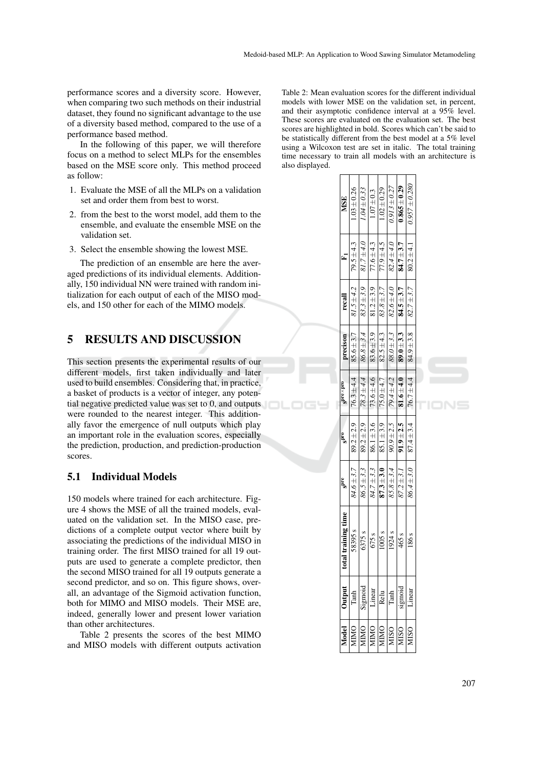performance scores and a diversity score. However, when comparing two such methods on their industrial dataset, they found no significant advantage to the use of a diversity based method, compared to the use of a performance based method.

In the following of this paper, we will therefore focus on a method to select MLPs for the ensembles based on the MSE score only. This method proceed as follow:

- 1. Evaluate the MSE of all the MLPs on a validation set and order them from best to worst.
- 2. from the best to the worst model, add them to the ensemble, and evaluate the ensemble MSE on the validation set.
- 3. Select the ensemble showing the lowest MSE.

The prediction of an ensemble are here the averaged predictions of its individual elements. Additionally, 150 individual NN were trained with random initialization for each output of each of the MISO models, and 150 other for each of the MIMO models.

## 5 RESULTS AND DISCUSSION

This section presents the experimental results of our different models, first taken individually and later used to build ensembles. Considering that, in practice, a basket of products is a vector of integer, any potential negative predicted value was set to 0, and outputs were rounded to the nearest integer. This additionally favor the emergence of null outputs which play an important role in the evaluation scores, especially the prediction, production, and prediction-production scores.

## 5.1 Individual Models

150 models where trained for each architecture. Figure 4 shows the MSE of all the trained models, evaluated on the validation set. In the MISO case, predictions of a complete output vector where built by associating the predictions of the individual MISO in training order. The first MISO trained for all 19 outputs are used to generate a complete predictor, then the second MISO trained for all 19 outputs generate a second predictor, and so on. This figure shows, overall, an advantage of the Sigmoid activation function, both for MIMO and MISO models. Their MSE are, indeed, generally lower and present lower variation than other architectures.

Table 2 presents the scores of the best MIMO and MISO models with different outputs activation Table 2: Mean evaluation scores for the different individual models with lower MSE on the validation set, in percent, and their asymptotic confidence interval at a 95% level. These scores are evaluated on the evaluation set. The best scores are highlighted in bold. Scores which can't be said to be statistically different from the best model at a 5% level using a Wilcoxon test are set in italic. The total training time necessary to train all models with an architecture is also displayed.

|  | <b>MSE</b>          | $1.03 \pm 0.26$    | $1.04 \pm 0.33$ | $1.07 + 0.3$   | $1.02 \pm 0.29$   | $0.913 \pm 0.27$  | $0.865 \pm 0.29$ | $0.957 \pm 0.280$ |  |
|--|---------------------|--------------------|-----------------|----------------|-------------------|-------------------|------------------|-------------------|--|
|  | É                   | $79.5 \pm 4.3$     | $81.7 \pm 4.0$  | $77.6 \pm 4.3$ | $77.9 \pm 4.5$    | $82.4 \pm 4.0$    | $84.7 \pm 3.7$   | $80.2 \pm 4.1$    |  |
|  | recall              | $81.5 \pm 4.2$     | $83.3 \pm 3.9$  | $81.2 + 3.9$   | $83.8 \pm 3.7$    | $82.6 \pm 4.0$    | $84.5 + 3.7$     | $82.7 \pm 3.7$    |  |
|  | precison            | $85.6 \pm 3.7$     | $86.8 \pm 3.4$  | $83.6 \pm 3.9$ | $82.5 \pm 4.3$    | $88.0 \pm 3.3$    | $89.0 \pm 3.3$   | $84.9 \pm 3.8$    |  |
|  | $Sbc \times bco$    | $76.3 \pm 4.4$     | $78.3 \pm 4.4$  | $73.6 + 4.6$   | $75.0 + 4.7$      | 79.4±4.2          | $81.6 \pm 4.0$   | $76.7 \pm 4.4$    |  |
|  | end <sup>S</sup>    | $89.2 \pm 2.9$     | $89.2 \pm 2.9$  | $86.1 \pm 3.6$ | $85.1 \pm 3.9$    | $90.9 \pm 2.5$    | $91.9 \pm 2.5$   | $87.4 \pm 3.4$    |  |
|  | gpre                | $84.6 \pm 3.7$     | $86.5 \pm 3.3$  | $84.7 \pm 3.3$ | $87.3 + 3.0$      | $85.8 \pm 3.4$    | $87.2 \pm 3.1$   | $86.4 \pm 3.0$    |  |
|  | total training time | 58395 <sub>s</sub> | 6375 s          | 675 s          | 1005 <sub>s</sub> | 1924 <sub>s</sub> | 465 s            | 186 <sub>s</sub>  |  |
|  | Jutput              | Tanh               | Sigmoid         | Linear         | Relu              | Tanh              | ougis            |                   |  |
|  |                     | <b>AIMO</b>        | <b>AIMO</b>     | ONIIN          | <b>AIMO</b>       | <b>VIISO</b>      | <b>AISO</b>      | <b>AISO</b>       |  |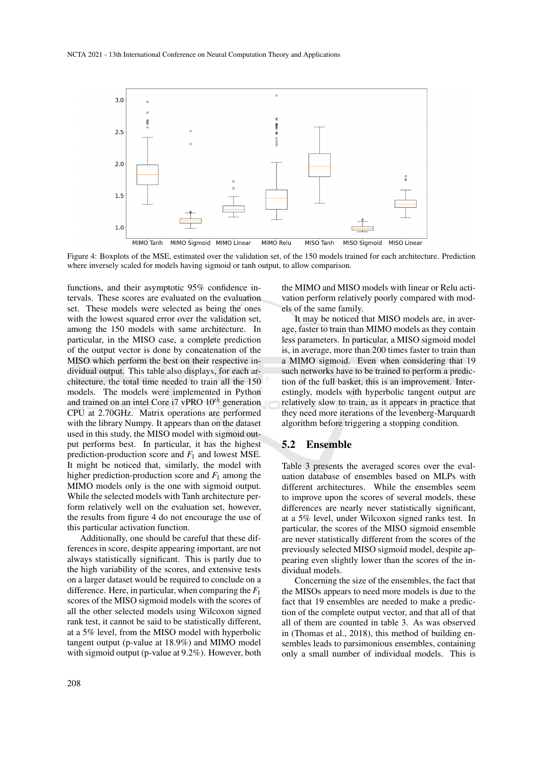

Figure 4: Boxplots of the MSE, estimated over the validation set, of the 150 models trained for each architecture. Prediction where inversely scaled for models having sigmoid or tanh output, to allow comparison.

functions, and their asymptotic 95% confidence intervals. These scores are evaluated on the evaluation set. These models were selected as being the ones with the lowest squared error over the validation set, among the 150 models with same architecture. In particular, in the MISO case, a complete prediction of the output vector is done by concatenation of the MISO which perform the best on their respective individual output. This table also displays, for each architecture, the total time needed to train all the 150 models. The models were implemented in Python and trained on an intel Core i7 vPRO 10*th* generation CPU at 2.70GHz. Matrix operations are performed with the library Numpy. It appears than on the dataset used in this study, the MISO model with sigmoid output performs best. In particular, it has the highest prediction-production score and *F*<sup>1</sup> and lowest MSE. It might be noticed that, similarly, the model with higher prediction-production score and  $F_1$  among the MIMO models only is the one with sigmoid output. While the selected models with Tanh architecture perform relatively well on the evaluation set, however, the results from figure 4 do not encourage the use of this particular activation function.

Additionally, one should be careful that these differences in score, despite appearing important, are not always statistically significant. This is partly due to the high variability of the scores, and extensive tests on a larger dataset would be required to conclude on a difference. Here, in particular, when comparing the *F*<sup>1</sup> scores of the MISO sigmoid models with the scores of all the other selected models using Wilcoxon signed rank test, it cannot be said to be statistically different, at a 5% level, from the MISO model with hyperbolic tangent output (p-value at 18.9%) and MIMO model with sigmoid output (p-value at 9.2%). However, both the MIMO and MISO models with linear or Relu activation perform relatively poorly compared with models of the same family.

It may be noticed that MISO models are, in average, faster to train than MIMO models as they contain less parameters. In particular, a MISO sigmoid model is, in average, more than 200 times faster to train than a MIMO sigmoid. Even when considering that 19 such networks have to be trained to perform a prediction of the full basket, this is an improvement. Interestingly, models with hyperbolic tangent output are relatively slow to train, as it appears in practice that they need more iterations of the levenberg-Marquardt algorithm before triggering a stopping condition.

## 5.2 Ensemble

Table 3 presents the averaged scores over the evaluation database of ensembles based on MLPs with different architectures. While the ensembles seem to improve upon the scores of several models, these differences are nearly never statistically significant, at a 5% level, under Wilcoxon signed ranks test. In particular, the scores of the MISO sigmoid ensemble are never statistically different from the scores of the previously selected MISO sigmoid model, despite appearing even slightly lower than the scores of the individual models.

Concerning the size of the ensembles, the fact that the MISOs appears to need more models is due to the fact that 19 ensembles are needed to make a prediction of the complete output vector, and that all of that all of them are counted in table 3. As was observed in (Thomas et al., 2018), this method of building ensembles leads to parsimonious ensembles, containing only a small number of individual models. This is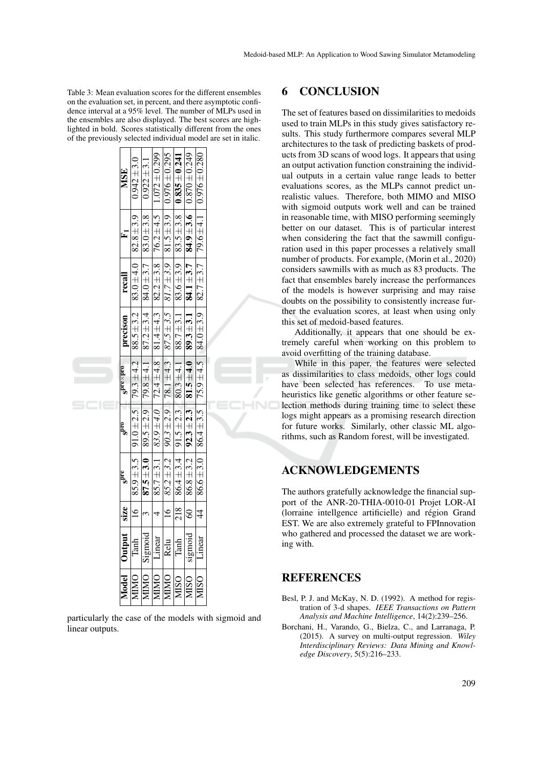Table 3: Mean evaluation scores for the different ensembles on the evaluation set, in percent, and there asymptotic confidence interval at a 95% level. The number of MLPs used in the ensembles are also displayed. The best scores are highlighted in bold. Scores statistically different from the ones of the previously selected individual model are set in italic.

|  | <b>MSE</b>              | $0.942 \pm 3.0$ | $0.922 \pm 3.1$                                                                                     | $85.7\pm3.1$ $83.9\pm4.0$ $72.4\pm4.8$ $81.4\pm4.3$ $82.2\pm3.8$ $76.2\pm4.5$ 1.072 $\pm0.299$ | $16$   85.2±3.2   90.3±2.9   78.1±4.3   87.5±3.5   81.7±3.9   81.5±3.9   0.976±0.295 | $218$   86.4±3.4   91.5±2.3   80.3±4.1   88.7±3.1   83.6±3.9   83.5±3.8   835.5±0.241 | sigmoid 60   86.8 ± 3.2   92.3 ± 2.3   81.5 ± 4.0   89.3 ± 3.1   84.1 ± 3.7   84.9 ± 3.6   0.870 ± 0.249 |             |  |
|--|-------------------------|-----------------|-----------------------------------------------------------------------------------------------------|------------------------------------------------------------------------------------------------|--------------------------------------------------------------------------------------|---------------------------------------------------------------------------------------|----------------------------------------------------------------------------------------------------------|-------------|--|
|  | $E_1$                   |                 | 87.5 $\pm$ 3.0   89.5 $\pm$ 2.9   79.8 $\pm$ 4.1   87.2 $\pm$ 3.4   84.0 $\pm$ 3.7   83.0 $\pm$ 3.8 |                                                                                                |                                                                                      |                                                                                       |                                                                                                          |             |  |
|  | recall                  |                 |                                                                                                     |                                                                                                |                                                                                      |                                                                                       |                                                                                                          |             |  |
|  | precison                |                 |                                                                                                     |                                                                                                |                                                                                      |                                                                                       |                                                                                                          |             |  |
|  | $Sbc$ spre $\times$ pro |                 |                                                                                                     |                                                                                                |                                                                                      |                                                                                       |                                                                                                          |             |  |
|  | $s^{\bar{\rm pro}}$     |                 |                                                                                                     |                                                                                                |                                                                                      |                                                                                       |                                                                                                          |             |  |
|  | g <sup>pre</sup>        |                 |                                                                                                     |                                                                                                |                                                                                      |                                                                                       |                                                                                                          |             |  |
|  |                         |                 | $\frac{3}{2}$                                                                                       |                                                                                                |                                                                                      |                                                                                       |                                                                                                          |             |  |
|  | Model   Output   size   |                 | MIMO Sigmoid                                                                                        | Linear                                                                                         | Relu                                                                                 | Tanh                                                                                  |                                                                                                          | Linear      |  |
|  |                         | <b>NIMO</b>     |                                                                                                     | <b>NIMO</b>                                                                                    | <b>MIMO</b>                                                                          | <b>OSIM</b>                                                                           | $\overline{\text{MISO}}$                                                                                 | <b>MISO</b> |  |

particularly the case of the models with sigmoid and linear outputs.

## 6 CONCLUSION

The set of features based on dissimilarities to medoids used to train MLPs in this study gives satisfactory results. This study furthermore compares several MLP architectures to the task of predicting baskets of products from 3D scans of wood logs. It appears that using an output activation function constraining the individual outputs in a certain value range leads to better evaluations scores, as the MLPs cannot predict unrealistic values. Therefore, both MIMO and MISO with sigmoid outputs work well and can be trained in reasonable time, with MISO performing seemingly better on our dataset. This is of particular interest when considering the fact that the sawmill configuration used in this paper processes a relatively small number of products. For example, (Morin et al., 2020) considers sawmills with as much as 83 products. The fact that ensembles barely increase the performances of the models is however surprising and may raise doubts on the possibility to consistently increase further the evaluation scores, at least when using only this set of medoid-based features.

Additionally, it appears that one should be extremely careful when working on this problem to avoid overfitting of the training database.

While in this paper, the features were selected as dissimilarities to class medoids, other logs could have been selected has references. To use metaheuristics like genetic algorithms or other feature selection methods during training time to select these logs might appears as a promising research direction for future works. Similarly, other classic ML algorithms, such as Random forest, will be investigated.

# ACKNOWLEDGEMENTS

The authors gratefully acknowledge the financial support of the ANR-20-THIA-0010-01 Projet LOR-AI (lorraine intellgence artificielle) and région Grand EST. We are also extremely grateful to FPInnovation who gathered and processed the dataset we are working with.

## REFERENCES

- Besl, P. J. and McKay, N. D. (1992). A method for registration of 3-d shapes. *IEEE Transactions on Pattern Analysis and Machine Intelligence*, 14(2):239–256.
- Borchani, H., Varando, G., Bielza, C., and Larranaga, P. (2015). A survey on multi-output regression. *Wiley Interdisciplinary Reviews: Data Mining and Knowledge Discovery*, 5(5):216–233.